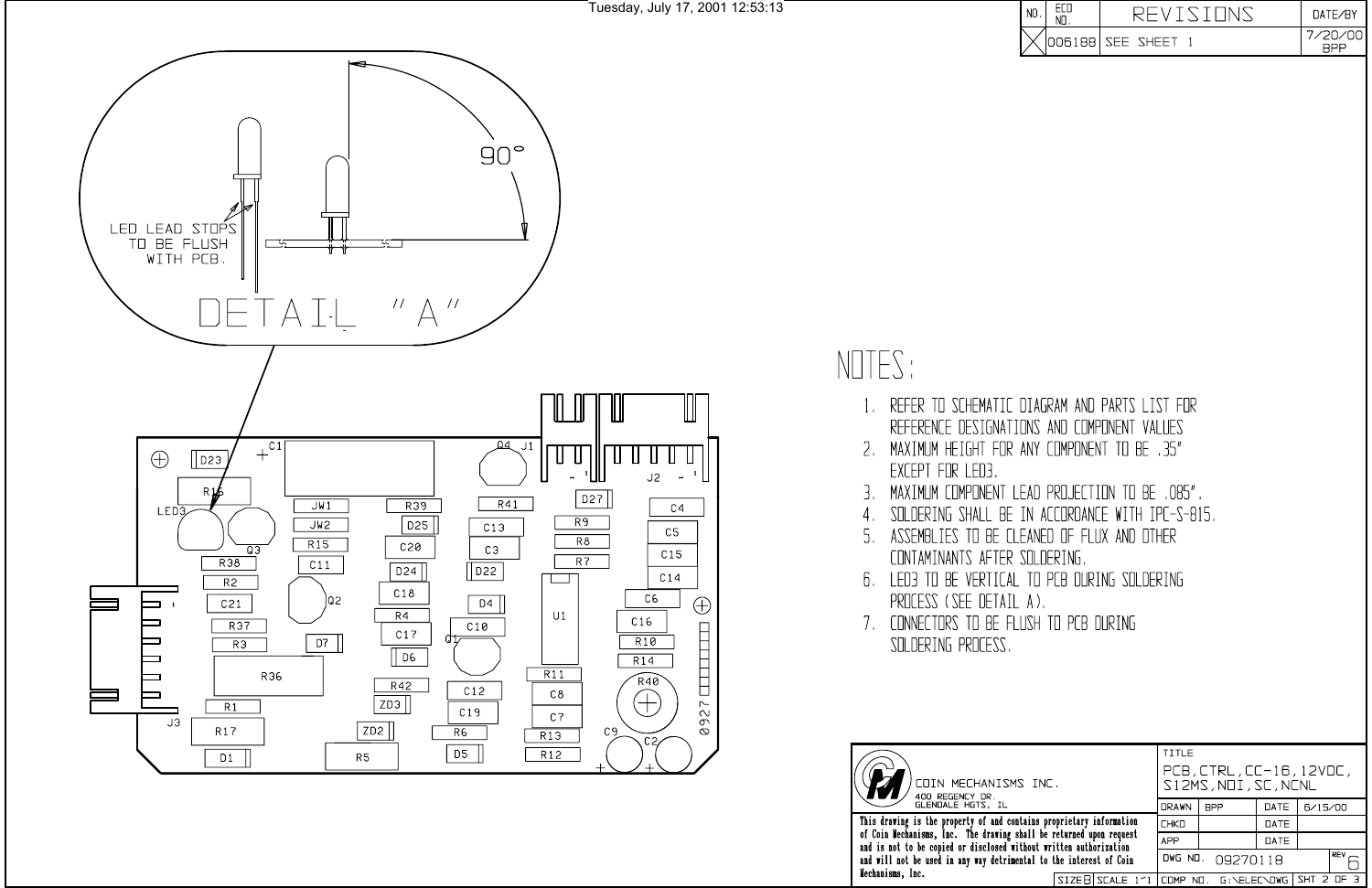

Tuesday, July 17, 2001 12:53:13

NOTES:

- $1_{\cdots}$
- EXCEPT FOR LED3
- З.
- 4.
- CONTAMINANTS AFTER SOLDERING.
- PROCESS (SEE DETAIL A).
- 7. CONNECTORS TO BE FLUSH TO PCB DURING SOLDERING PROCESS.



TITLE PCB, CTRL, CC-16, 12VDC, )<br>COIN MECHANISMS INC.<br>400 REGENCY DR.<br>GLENDALE HGTS, IL S12MS, NOI, SC, NCNL DRAWN | BPP DATE  $6/15/00$ This drawing is the property of and contains proprietary information<br>of Coin Mechanisms, Inc. The drawing shall be returned upon request<br>and is not to be copied or disclosed without written authorization DATE **CHKD APP** DATE  $F^{\text{rev}}$ and will not be used in any way detrimental to the interest of Coin DWG NO. 09270118 Mechanisms, Inc. SIZEB SCALE 1'1 COMP ND. G:\ELEC\DWG SHT 2 OF 3

|  |                       | $\overline{M}$ TE/RY |
|--|-----------------------|----------------------|
|  | '006188   SEE SHEET 1 | חר                   |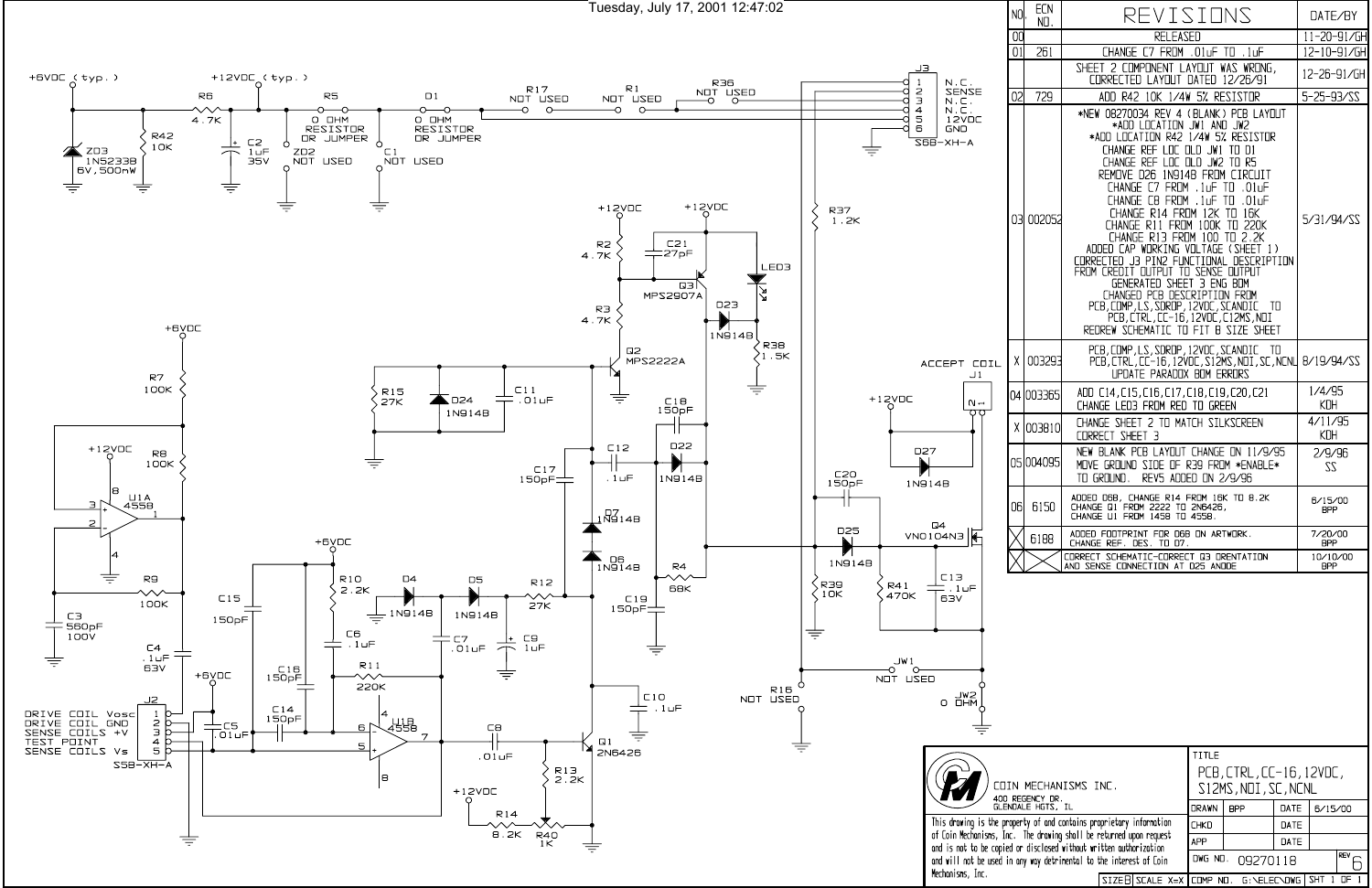Tuesday, July 17, 2001 12:47:02



| NO.            | <b>ECN</b><br>NO. | REVISIONS                                                                                                                                                                                                                                                                                                                                                                                                                                                                                                                                                                                                                                                                                              | DATE/BY         |
|----------------|-------------------|--------------------------------------------------------------------------------------------------------------------------------------------------------------------------------------------------------------------------------------------------------------------------------------------------------------------------------------------------------------------------------------------------------------------------------------------------------------------------------------------------------------------------------------------------------------------------------------------------------------------------------------------------------------------------------------------------------|-----------------|
| 00             |                   | <b>RELEASED</b>                                                                                                                                                                                                                                                                                                                                                                                                                                                                                                                                                                                                                                                                                        | 11-20-91/GH     |
| 01             | 261               | CHANGE C7 FROM .01uF TO .1uF                                                                                                                                                                                                                                                                                                                                                                                                                                                                                                                                                                                                                                                                           | 12-10-91/GH     |
|                |                   | SHEET 2 COMPONENT LAYOUT WAS WRONG,<br>CORRECTED LAYOUT DATED 12/26/91                                                                                                                                                                                                                                                                                                                                                                                                                                                                                                                                                                                                                                 | 12-26-91/GH     |
| 0 <sup>2</sup> | 729               | ADD R42 10K 1/4W 5% RESISTOR                                                                                                                                                                                                                                                                                                                                                                                                                                                                                                                                                                                                                                                                           | 5-25-93/22      |
|                | 03 002052         | *NEW 08270034 REV 4 (BLANK) PCB LAYOUT<br>*ADD LOCATION JW1 AND JW2<br>*ADD LOCATION R42 1/4W 5% RESISTOR<br>CHANGE REF LOC OLD JW1 TO D1<br>CHANGE REF LOC OLD JW2 TO R5<br>REMOVE D26 1N914B FROM CIRCUIT<br>CHANGE C7 FROM . 1uF TO<br>⊣⊔0. ا<br>CHANGE C8 FROM<br>.1⊔F TO<br>.01⊔F<br>CHANGE R14 FROM 12K TO<br>16K<br>CHANGE R11 FROM 100K TO 220K<br>CHANGE R13 FROM 100 TO 2.2K<br>ADDED CAP WORKING VOLTAGE (SHEET 1)<br>CORRECTED J3 PIN2 FUNCTIONAL DESCRIPTION<br>FROM CREDIT OUTPUT TO SENSE OUTPUT<br>GENERATED SHEET 3 ENG BOM<br>CHANGED PCB DESCRIPTION FROM<br>PCB, COMP, LS, SDROP, 12VDC, SCANDIC<br>- TO<br>PCB,CTRL,CC-16,12VDC,C12MS,NOI<br>REDREW SCHEMATIC TO FIT B SIZE SHEET | 5/31/94/SS      |
| $X \mid$       | 003293            | PCB, COMP, LS, SDROP, 12VDC, SCANDIC TO<br>PCB, CTRL, CC-16, 12VDC, S12MS, NDI, SC, NCNL<br><b>UPDATE PARADOX BOM ERRORS</b>                                                                                                                                                                                                                                                                                                                                                                                                                                                                                                                                                                           | 8/19/94/22      |
|                | 04 003365         | ADD C14, C15, C16, C17, C18, C19, C20, C21<br>CHANGE LED3 FROM RED TO GREEN                                                                                                                                                                                                                                                                                                                                                                                                                                                                                                                                                                                                                            | 1/4/95<br>KDH   |
|                | X 1003810         | CHANGE SHEET 2 TO MATCH SILKSCREEN<br>CORRECT SHEET 3                                                                                                                                                                                                                                                                                                                                                                                                                                                                                                                                                                                                                                                  | 4/11/95<br>KDH  |
|                | 05 004 095        | NEW BLANK PCB LAYOUT CHANGE ON 11/9/95<br>MOVE GROUND SIDE OF R39 FROM *ENABLE*<br>TO GROUND, REVS ADDED ON 2/9/96                                                                                                                                                                                                                                                                                                                                                                                                                                                                                                                                                                                     | 2/9/96<br>22    |
| 06             | 6150              | ADDED D6B, CHANGE R14 FROM 16K TO 8.2K<br>CHANGE 01 FROM 2222 TO 2N6426,<br>CHANGE U1 FROM 1458 TO 4558.                                                                                                                                                                                                                                                                                                                                                                                                                                                                                                                                                                                               | 6/15/00<br>BPP  |
|                | 6188              | ADDED FOOTPRINT FOR D6B ON ARTWORK.<br>CHANGE REF. DES. TO D7.                                                                                                                                                                                                                                                                                                                                                                                                                                                                                                                                                                                                                                         | 7/20/00<br>BPP  |
|                |                   | CORRECT SCHEMATIC-CORRECT Q3 ORENTATION<br>AND SENSE CONNECTION AT D25 ANODE                                                                                                                                                                                                                                                                                                                                                                                                                                                                                                                                                                                                                           | 10/10/00<br>BPP |
|                |                   |                                                                                                                                                                                                                                                                                                                                                                                                                                                                                                                                                                                                                                                                                                        |                 |

|                                                                                                                                                                                                     |  |                                            | TITLE                                            |            |             |         |     |
|-----------------------------------------------------------------------------------------------------------------------------------------------------------------------------------------------------|--|--------------------------------------------|--------------------------------------------------|------------|-------------|---------|-----|
| IN MECHANISMS INC.<br>REGENCY DR.                                                                                                                                                                   |  |                                            | PCB, CTRL, CC-16, 12VDC,<br>S12MS, NOI, SC, NCNL |            |             |         |     |
| NDALE HGTS, IL                                                                                                                                                                                      |  |                                            | <b>DRAWN</b>                                     | <b>BPP</b> | <b>DATE</b> | 6/15/00 |     |
| operty of and contains proprietary information:<br>ic. The drawing shall be returned upon request<br>d or disclosed without written outhorization:<br>n any way detrimental to the interest of Coin |  |                                            | <b>CHKD</b>                                      |            | DATE        |         |     |
|                                                                                                                                                                                                     |  |                                            | <b>APP</b>                                       |            | DATE        |         |     |
|                                                                                                                                                                                                     |  |                                            | REV<br>DWG NO. 09270118                          |            |             |         |     |
|                                                                                                                                                                                                     |  | $SIZEB SCALE X=X CIMP NQ. G:NELEC/DWG SHT$ |                                                  |            |             |         | ΠF. |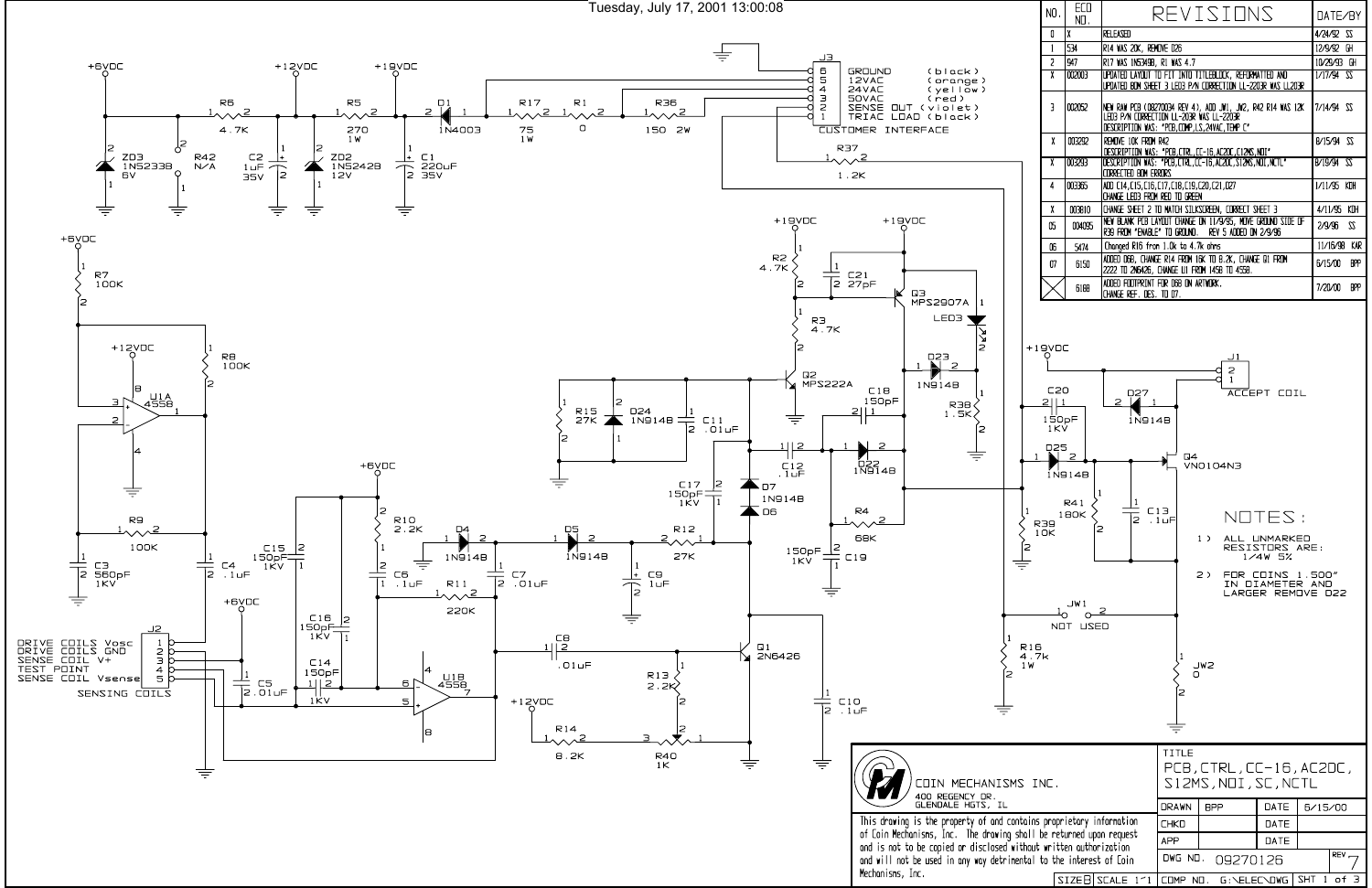

|                                                    | NO.                                                                            | ECO<br>NO.                                                             |                                                                                  |                                | REVISIONS                                                                                                                  |                                                                                                                              | DATE/BY                 |
|----------------------------------------------------|--------------------------------------------------------------------------------|------------------------------------------------------------------------|----------------------------------------------------------------------------------|--------------------------------|----------------------------------------------------------------------------------------------------------------------------|------------------------------------------------------------------------------------------------------------------------------|-------------------------|
|                                                    | 0                                                                              | χ                                                                      | RELEASED                                                                         |                                |                                                                                                                            |                                                                                                                              | $4/24/92$ SS            |
|                                                    | 1                                                                              | 534                                                                    | R14 WAS 20K, REMOVE D26                                                          |                                |                                                                                                                            |                                                                                                                              | 12/9/92 GH              |
|                                                    | 2                                                                              | 947                                                                    | R17 WAS IN5349B, R1 WAS 4.7                                                      |                                |                                                                                                                            |                                                                                                                              | 10/29/93 GH             |
|                                                    | γ                                                                              | 002003                                                                 |                                                                                  |                                | UPDATED LAYOUT TO FIT INTO TITLEBLOCK, REFORMATTED AND                                                                     |                                                                                                                              | $1/17/94$ $55$          |
|                                                    | 3                                                                              | 002052                                                                 | LED3 P/N CORRECTION LL-203R WAS LL-2203R                                         |                                | UPDATED BOM SHEET 3 LED3 P/N CORRECTION LL-2203R WAS LL203R<br>NEW RAW PCB (08270034 REV 4), ADD JW1, JW2, R42 R14 WAS 12K |                                                                                                                              | 7/14/94 SS              |
|                                                    |                                                                                |                                                                        | DESCRIPTION WAS: "PCB, COMP, LS, 24VAC, TEMP C"                                  |                                |                                                                                                                            |                                                                                                                              |                         |
|                                                    | χ                                                                              | 003292                                                                 | REMOVE 10K FROM R42                                                              |                                |                                                                                                                            |                                                                                                                              | 8/15/94 \$2             |
|                                                    | χ                                                                              | 003293                                                                 | CORRECTED BOM ERRORS                                                             |                                | DESCRIPTION WAS: "PCB,CTRL,CC-16,AC2DC,C12MS,NDI"<br>DESCRIPTION WAS: "PCB,CTRL,CC-16,AC2DC,S12MS,NDI,NCTL"                |                                                                                                                              | B/19/94 SS              |
|                                                    | 4                                                                              | 003365                                                                 | ADD C14, C15, C16, C17, C18, C19, C20, C21, D27<br>CHANGE LED3 FROM RED TO GREEN |                                |                                                                                                                            |                                                                                                                              | 1/11/95 KDH             |
|                                                    | χ                                                                              | 003810                                                                 |                                                                                  |                                | CHANGE SHEET 2 TO MATCH SILKSCREEN, CORRECT SHEET 3                                                                        |                                                                                                                              | 4/11/95 KDH             |
|                                                    | 05                                                                             | 004095                                                                 |                                                                                  |                                | NEW BLANK PCB LAYOUT CHANGE ON 11/9/95, MOVE GROUND SIDE OF                                                                |                                                                                                                              | 2/9/96<br>22            |
|                                                    |                                                                                |                                                                        |                                                                                  |                                | R39 FROM "ENABLE" TO GROUND. REV 5 ADDED ON 2/9/96                                                                         |                                                                                                                              |                         |
|                                                    | 06                                                                             | 5474                                                                   | Changed R16 from 1.0k to 4.7k ohms                                               |                                |                                                                                                                            |                                                                                                                              | 11/16/98 KAR            |
|                                                    | 07                                                                             | 6150                                                                   | 2222 TO 2N6426, CHANGE U1 FROM 1458 TO 4558.                                     |                                | ADDED D6B, CHANGE R14 FROM 16K TO 8.2K, CHANGE D1 FROM                                                                     |                                                                                                                              | <b>BPP</b><br>6/15/00   |
|                                                    |                                                                                | 6188                                                                   | ADDED FOOTPRINT FOR D6B ON ARTWORK.<br>Change Ref. Des. To D7.                   |                                |                                                                                                                            |                                                                                                                              | 7/20/00<br><b>BPP</b>   |
| $\mathbf{1}$<br>$\mathbf{1}$<br>R16<br>4.7k<br>1 W | $+19$ VDC<br>C20<br>21<br>$\perp$<br>150pF<br>1KV<br>D25<br><b>R39</b><br>1 OK | 2<br>1N914B<br>$\vert 1 \vert$<br>R41<br>180K<br>2<br>JW 1<br>NOT USED | D27<br>2<br>1N914B<br>$\mathbf{1}$<br>C13<br>$\overline{z}$                      | 54<br>. 1பF<br>1<br>Ω<br>TITLE | J <sub>1</sub><br>2<br>$\mathbf{1}$<br>VNO 1 04N3<br>$1$ )<br>$2$ )<br>JW2                                                 | ACCEPT COIL<br>NOTES:<br>ALL UNMARKED<br>RESISTORS ARE:<br>$1/4W$ 5%<br>FOR COINS 1.500″<br>IN DIAMETER AND<br>LARGER REMOVE | D22                     |
| MS INC.                                            |                                                                                |                                                                        |                                                                                  |                                | $PCB$ , $CTRL$ , $CC-16$ , $AC2DC$ ,<br>S12MS, NOI, SC, NCTL                                                               |                                                                                                                              |                         |
|                                                    |                                                                                |                                                                        |                                                                                  | <b>DRAWN</b>                   | <b>BPP</b>                                                                                                                 | DATE                                                                                                                         | 6/15/00                 |
|                                                    |                                                                                |                                                                        | ontains proprietary information:                                                 | <b>CHKD</b>                    |                                                                                                                            | <b>DATE</b>                                                                                                                  |                         |
|                                                    |                                                                                |                                                                        | shall be returned upon request (                                                 | <b>APP</b>                     |                                                                                                                            | DATE                                                                                                                         |                         |
|                                                    |                                                                                | without written authorization                                          |                                                                                  |                                |                                                                                                                            |                                                                                                                              | REV,                    |
|                                                    |                                                                                | nental to the interest of Coin                                         |                                                                                  | DWG NO.                        | 09270126                                                                                                                   |                                                                                                                              |                         |
|                                                    |                                                                                |                                                                        | $SIZEB$ SCALE $1^2$ 1                                                            |                                | COMP NO. G: \ELEC\DWG                                                                                                      |                                                                                                                              | <b>SHT</b><br>of 3<br>1 |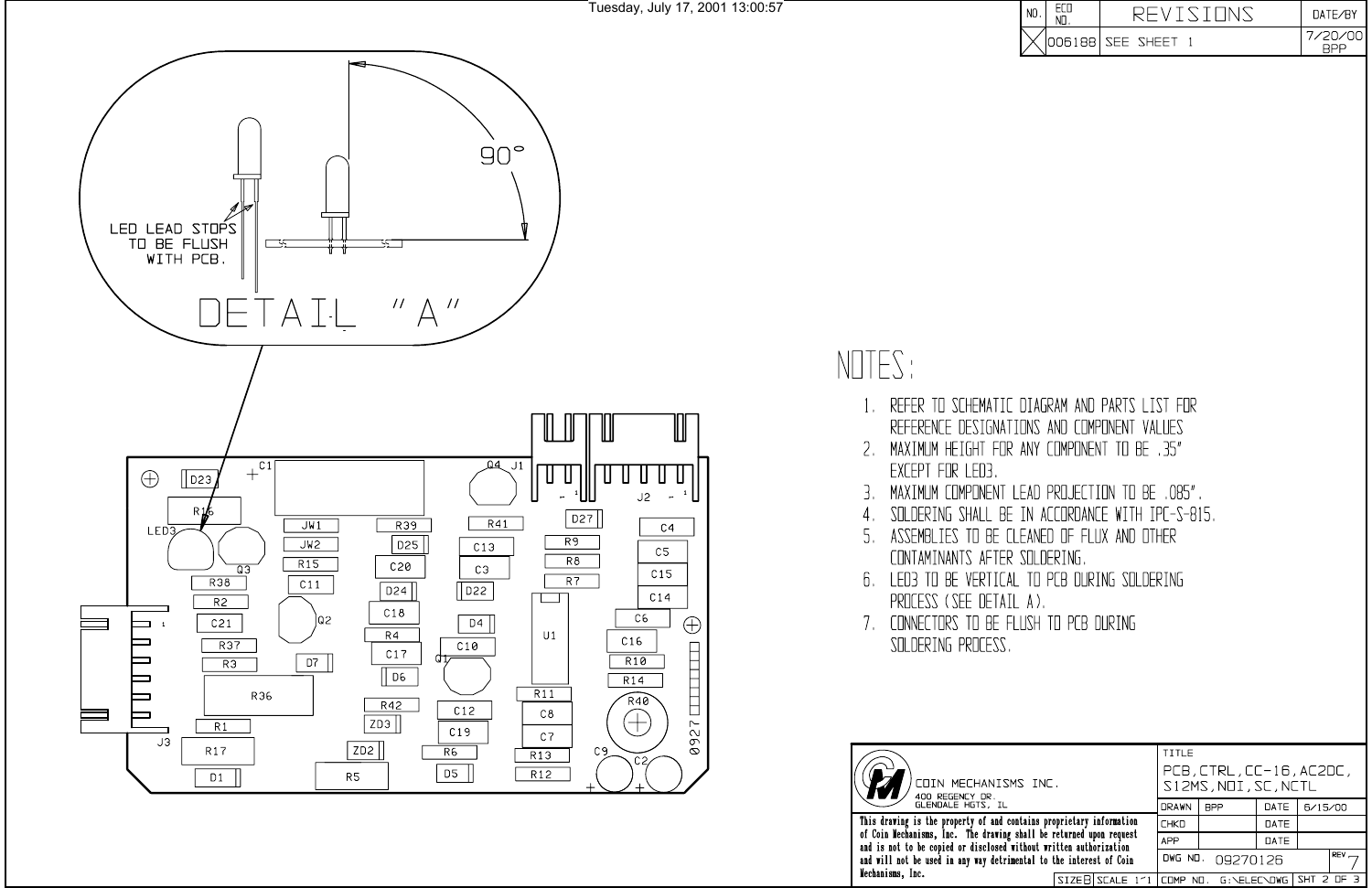

- $\left| \cdot \right|$
- EXCEPT FOR LED3
- 3.
- $4.$
- CONTAMINANTS AFTER SOLDERING.
- PROCESS (SEE DETAIL A).
- 7. CONNECTORS TO BE FLUSH TO PCB DURING SOLDERING PROCESS.



and is not to be copied or disclosed<br>and will not be used in any way detri Mechanisms, Inc.

| I NO |                  | $\overline{M}$ TF/RY |
|------|------------------|----------------------|
|      | 006188 SEE SHEET | חר                   |

| MS INC.                                                                                              |  | TITLE<br>$PCB$ , $CTRL$ , $CC-16$ , $AC2DC$ ,<br>S12MS, NOI, SC, NCTL |                  |             |         |            |  |
|------------------------------------------------------------------------------------------------------|--|-----------------------------------------------------------------------|------------------|-------------|---------|------------|--|
|                                                                                                      |  | <b>DRAWN</b>                                                          | <b>BPP</b>       | <b>DATE</b> | 6/15/00 |            |  |
|                                                                                                      |  | contains proprietary information                                      | <b>CHKD</b>      |             | DATE    |            |  |
| g shall be returned upon request<br>without written authorization<br>imental to the interest of Coin |  | <b>APP</b>                                                            |                  | DATE        |         |            |  |
|                                                                                                      |  |                                                                       | DWG ND. 09270126 |             |         | <b>REV</b> |  |
|                                                                                                      |  | SIZER SCALE $1 \leq 1$ (COMP NO. G: SELECSOWG SHT 2 OF 3)             |                  |             |         |            |  |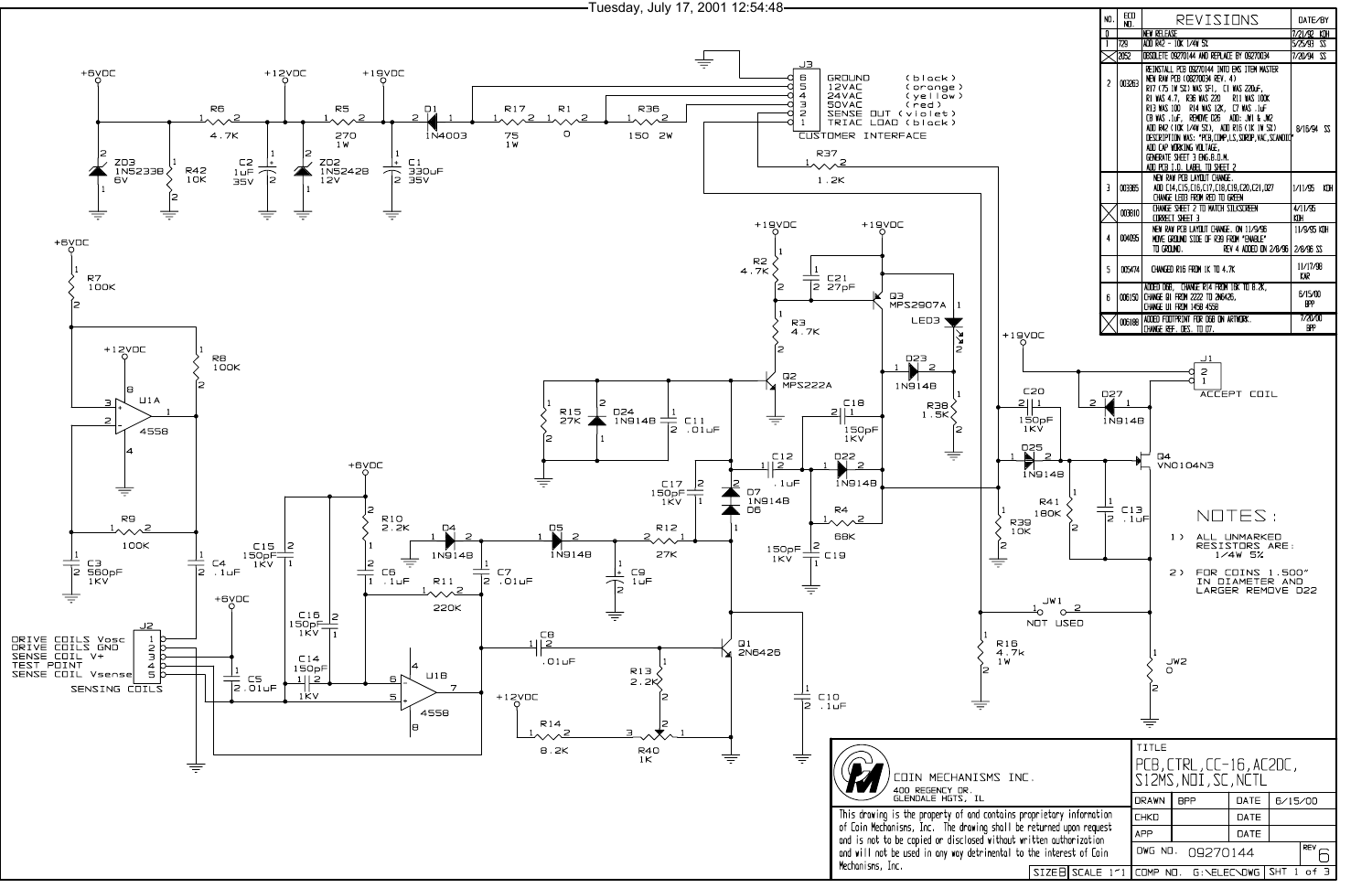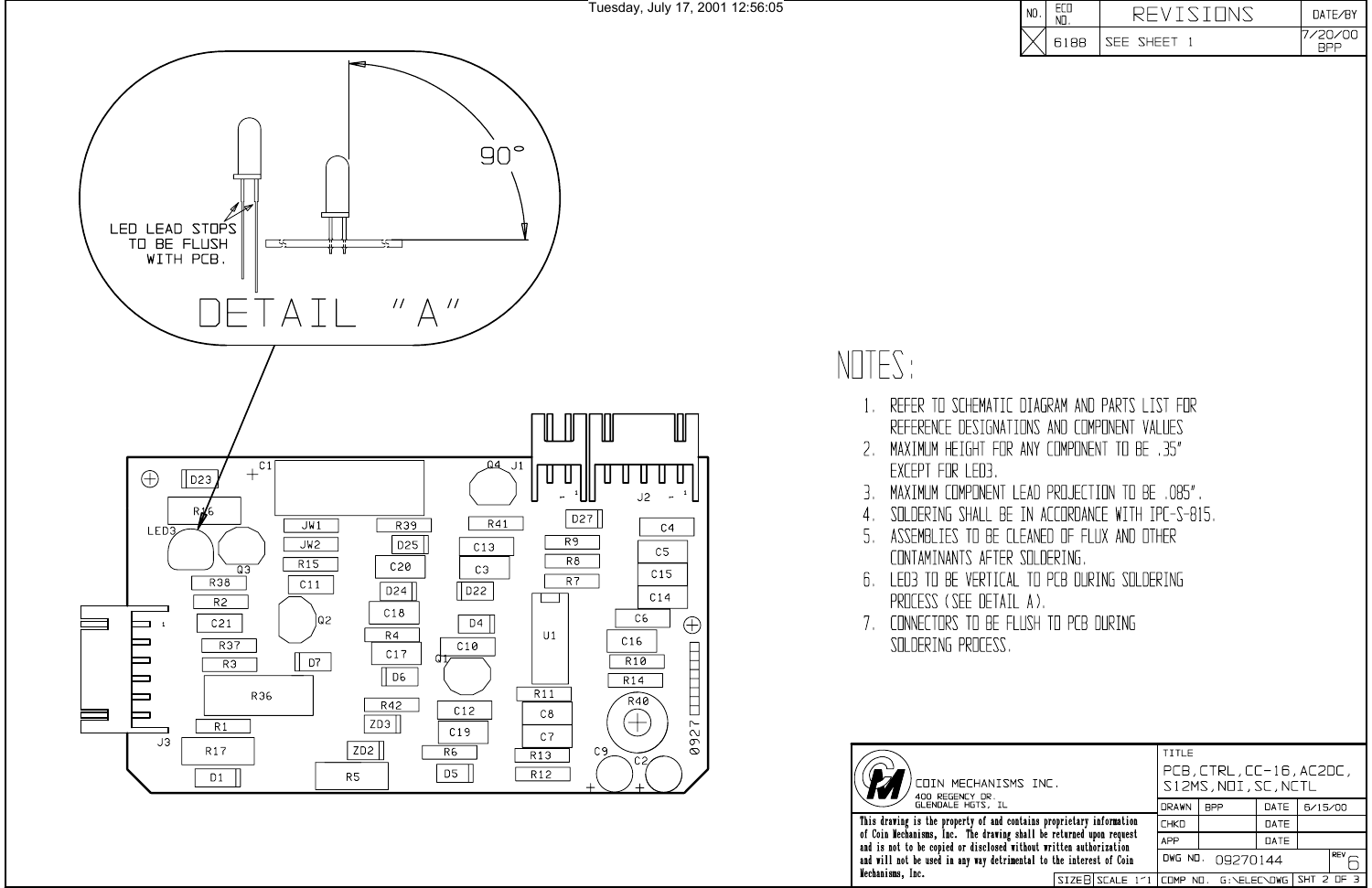

- $\mathbf{1}_{\infty}$
- EXCEPT FOR LED3
- 3.
- 4.
- CONTAMINANTS AFTER SOLDERING.
- PROCESS (SEE DETAIL A).
- SOLDERING PROCESS.



and will not be used in any way detrimental to the interest of Coin Mechanisms, Inc.

| $\mathsf I$ NO |      |           | DATE/RY |
|----------------|------|-----------|---------|
| L              | 6188 | SEE SHEET |         |

REFER TO SCHEMATIC DIAGRAM AND PARTS LIST FOR REFERENCE DESIGNATIONS AND COMPONENT VALUES 2. MAXIMUM HEIGHT FOR ANY COMPONENT TO BE .35" MAXIMUM COMPONENT LEAD PROJECTION TO BE ,085". SOLDERING SHALL BE IN ACCORDANCE WITH IPC-S-815. 5. ASSEMBLIES TO BE CLEANED OF FLUX AND OTHER 6. LED3 TO BE VERTICAL TO PCB DURING SOLDERING 7. CONNECTORS TO BE FLUSH TO PCB DURING

TITLE PCB, CTRL, CC-16, AC2DC, S12MS, NOI, SC, NCTL DRAWN BPP DATE  $6/15/00$ This drawing is the property of and contains proprietary information<br>of Coin Mechanisms, Inc. The drawing shall be returned upon request<br>and is not to be copied or disclosed without written authorization DATE **CHKD APP** DATE  $F^{\text{rev}}$ DWG NO. 09270144 SIZEB SCALE 1'1 COMP ND. G:\ELEC\DWG SHT 2 OF 3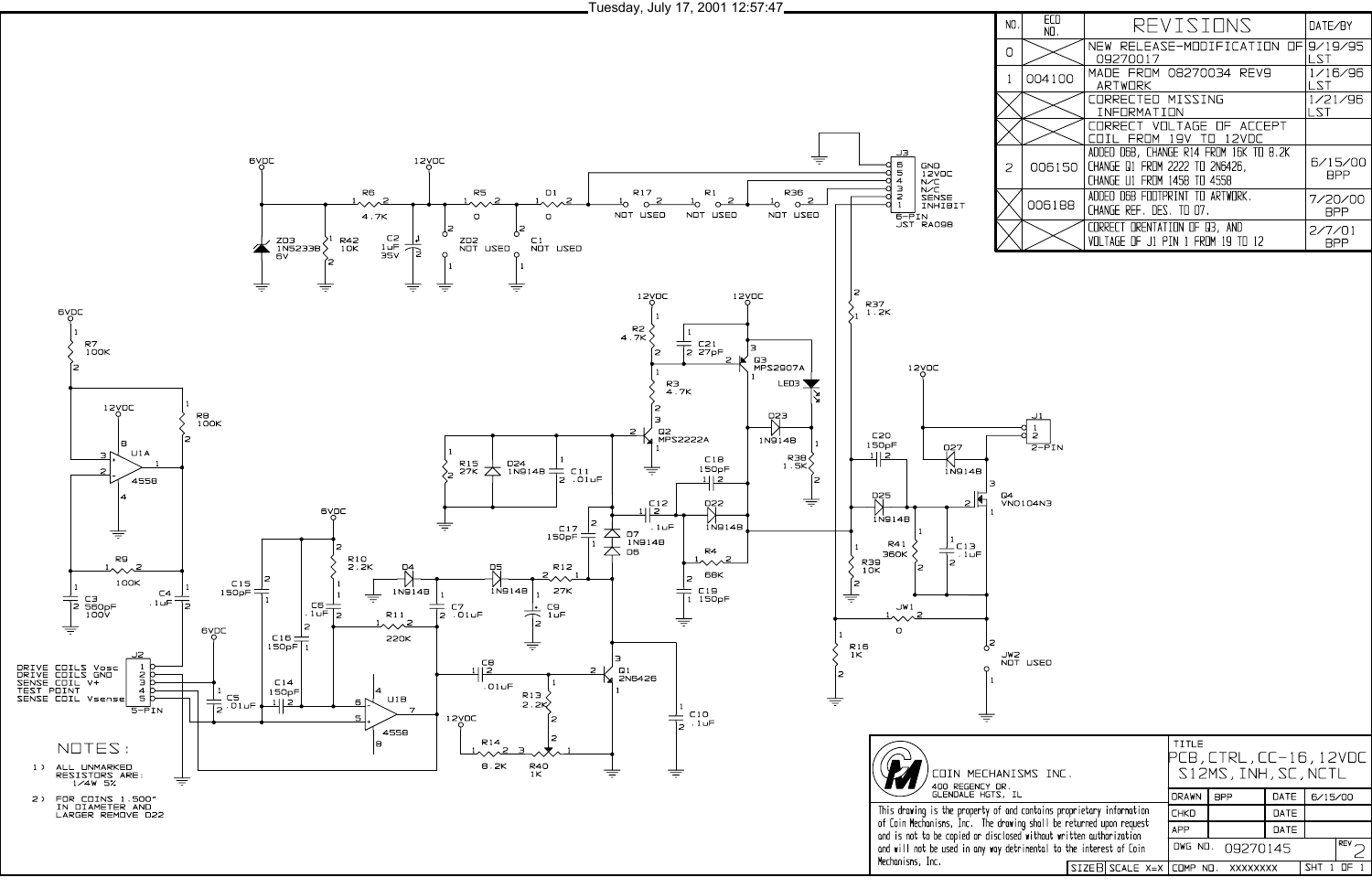

Tuesday, July 17, 2001 12:57:47

| ИO.            | ECO<br>NO. | REVISIONS                                                                                                      | DATE/BY               |
|----------------|------------|----------------------------------------------------------------------------------------------------------------|-----------------------|
|                |            | NEW RELEASE-MODIFICATION OF 9/19/95<br>09270017                                                                | LST                   |
|                | 004100     | MADE FROM 08270034 REV9<br><b>ARTWORK</b>                                                                      | 1/16/96<br>1 S.T      |
|                |            | CORRECTED MISSING<br>INFORMATION                                                                               | 1/21/96<br>LST        |
|                |            | CORRECT VOLTAGE OF ACCEPT<br>FROM 19V TO 12VDC                                                                 |                       |
| $\overline{a}$ |            | ADDED D6B, CHANGE R14 FROM 16K TO 8.2K<br>006150 CHANGE 01 FROM 2222 TO 2N6426,<br>CHANGE U1 FROM 1458 TO 4558 | 6/15/00<br><b>BPP</b> |
|                | 006188     | ADDED D6B FOOTPRINT TO ARTWORK.<br>CHANGE REF, DES, TO D7,                                                     | 7/20/00<br>BPP        |
|                |            | CORRECT ORENTATION OF 03, AND<br>VOLTAGE OF J1 PIN 1 FROM 19 TO 12                                             | 2/7/01<br>BPP         |

Mechanisms, Inc.

| IISMS INC.                                                               |  | TITLE<br>PCB,CTRL,CC-16,12VDC<br>S12MS, INH, SC, NCTL |              |                  |      |            |            |
|--------------------------------------------------------------------------|--|-------------------------------------------------------|--------------|------------------|------|------------|------------|
| .<br>IL                                                                  |  |                                                       | <b>DRAWN</b> | <b>BPP</b>       | DATE | 6/15/00    |            |
| nd contains proprietary information                                      |  |                                                       | <b>CHKD</b>  |                  | DATE |            |            |
| wing shall be returned upon request<br>sed without written authorization |  | <b>APP</b>                                            |              | DATE             |      |            |            |
| letrinental to the interest of Coin                                      |  |                                                       |              | DWG ND. 09270145 |      |            | <b>REV</b> |
|                                                                          |  | SIZEB SCALE X=X COMP NO. XXXXXXXX                     |              |                  |      | <b>SHT</b> |            |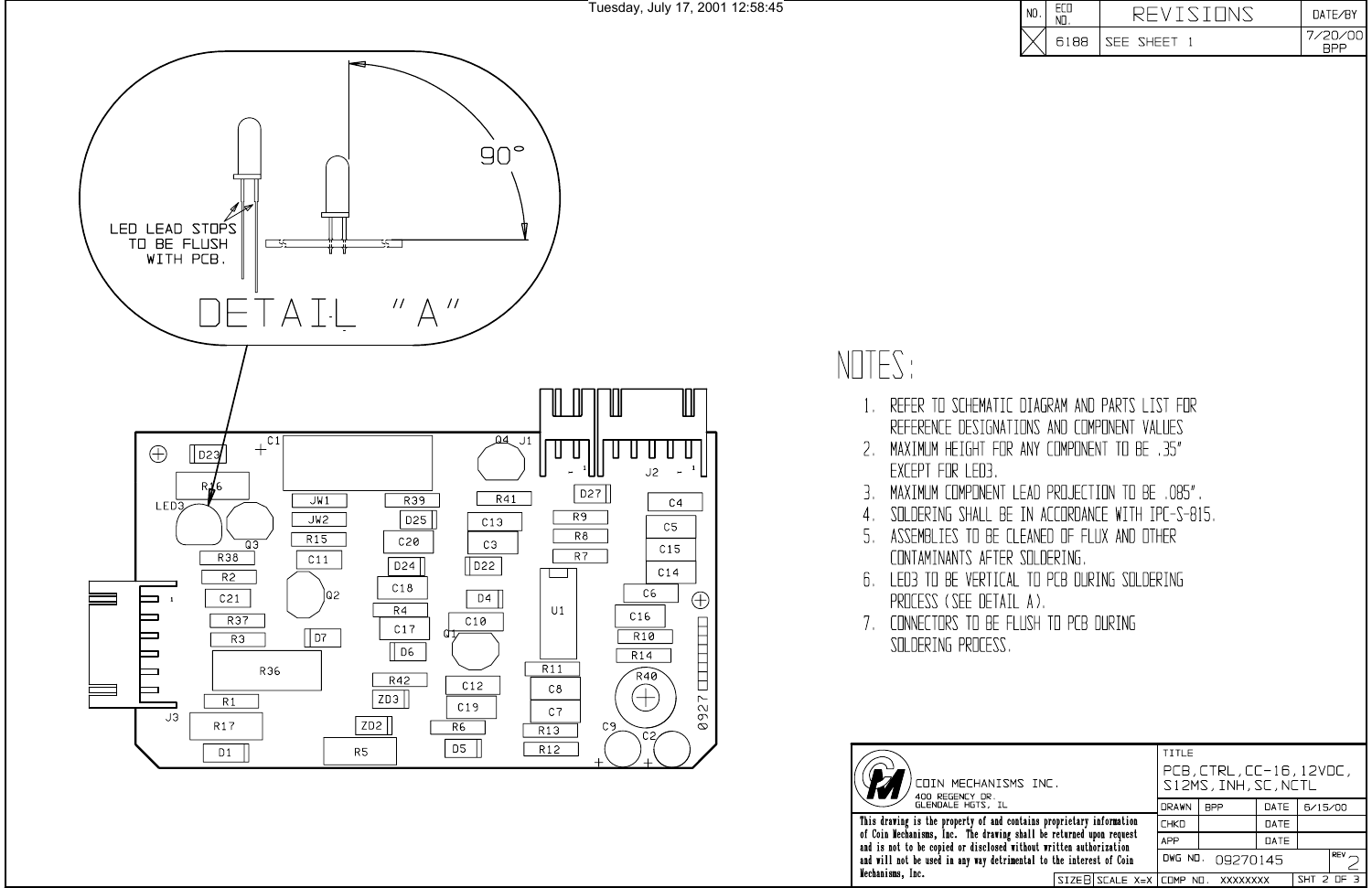

- $1_{\cdots}$
- EXCEPT FOR LED3
- З.
- 4.
- CONTAMINANTS AFTER SOLDERING.
- PROCESS (SEE DETAIL A).
- 7. CONNECTORS TO BE FLUSH TO PCB DURING SOLDERING PROCESS.



TITLE PCB, CTRL, CC-16, 12VDC, )<br>COIN MECHANISMS INC.<br>400 REGENCY DR.<br>GLENDALE HGTS, IL S12MS, INH, SC, NCTL DRAWN BPP DATE  $6/15/00$ This drawing is the property of and contains proprietary information<br>of Coin Mechanisms, Inc. The drawing shall be returned upon request<br>and is not to be copied or disclosed without written authorization  $\overline{DATE}$ **CHKD APP** DATE  $R$   $\overline{2}$ and will not be used in any way detrimental to the interest of Coin DWG NO. 09270145 Mechanisms, Inc.  $\sqrt{\text{SHT 2 OF 3}}$ SIZEB SCALE X=X COMP NO. XXXXXXXX

| I NO |      |                  | $\overline{\text{TATF/RY}}$ |
|------|------|------------------|-----------------------------|
| L    | 6188 | <b>SEE SHEET</b> |                             |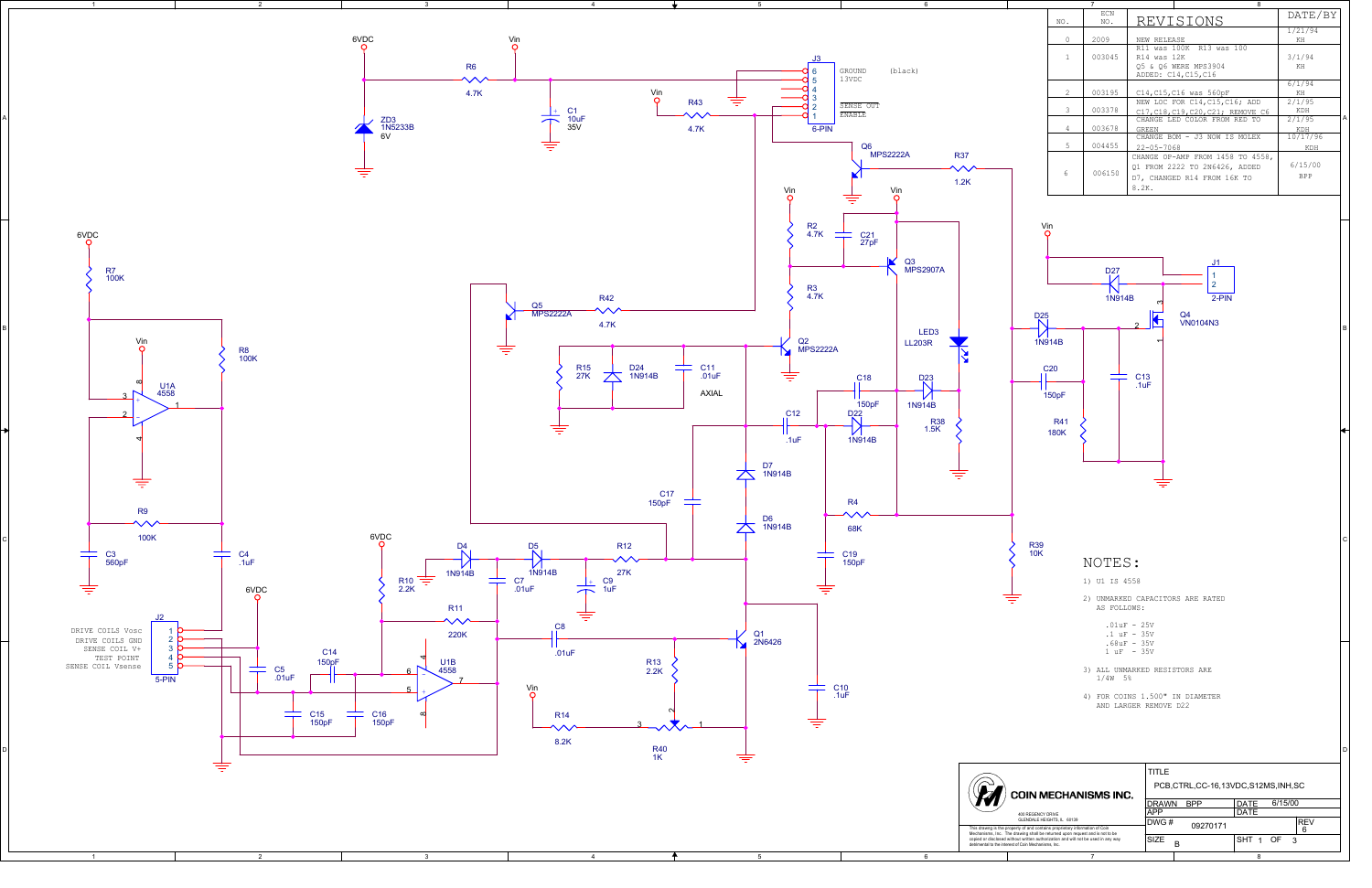

| 7 |                |            |                  | 8                                                                                                |                       |   |  |
|---|----------------|------------|------------------|--------------------------------------------------------------------------------------------------|-----------------------|---|--|
|   | NO.            | ECN<br>NO. |                  | REVISIONS                                                                                        |                       |   |  |
|   | $\Omega$       | 2009       | NEW RELEASE      |                                                                                                  | 1/21/94<br>KH         |   |  |
|   | $\mathbf{1}$   | 003045     |                  | R11 was 100K R13 was 100<br>R14 was 12K<br>05 & 06 WERE MPS3904<br>ADDED: C14, C15, C16          |                       |   |  |
|   | $\mathfrak{D}$ | 003195     |                  | C14, C15, C16 was 560pF                                                                          | 6/1/94<br>KH          |   |  |
|   | 3              | 003378     |                  | NEW LOC FOR C14, C15, C16; ADD<br>C17.C18.C19.C20.C21; REMOVE C6                                 | 2/1/95<br>KDH         |   |  |
|   | 4              | 003678     | GREEN            | CHANGE LED COLOR FROM RED TO                                                                     | 2/1/95<br>KDH         | А |  |
|   | 5              | 004455     | $22 - 05 - 7068$ | CHANGE BOM - J3 NOW IS MOLEX                                                                     | 10/17/96<br>KDH       |   |  |
|   | 6              | 006150     | 8.2K.            | CHANGE OP-AMP FROM 1458 TO 4558,<br>01 FROM 2222 TO 2N6426, ADDED<br>D7. CHANGED R14 FROM 16K TO | 6/15/00<br><b>BPP</b> |   |  |

- -
- 
- 

A

B

C

D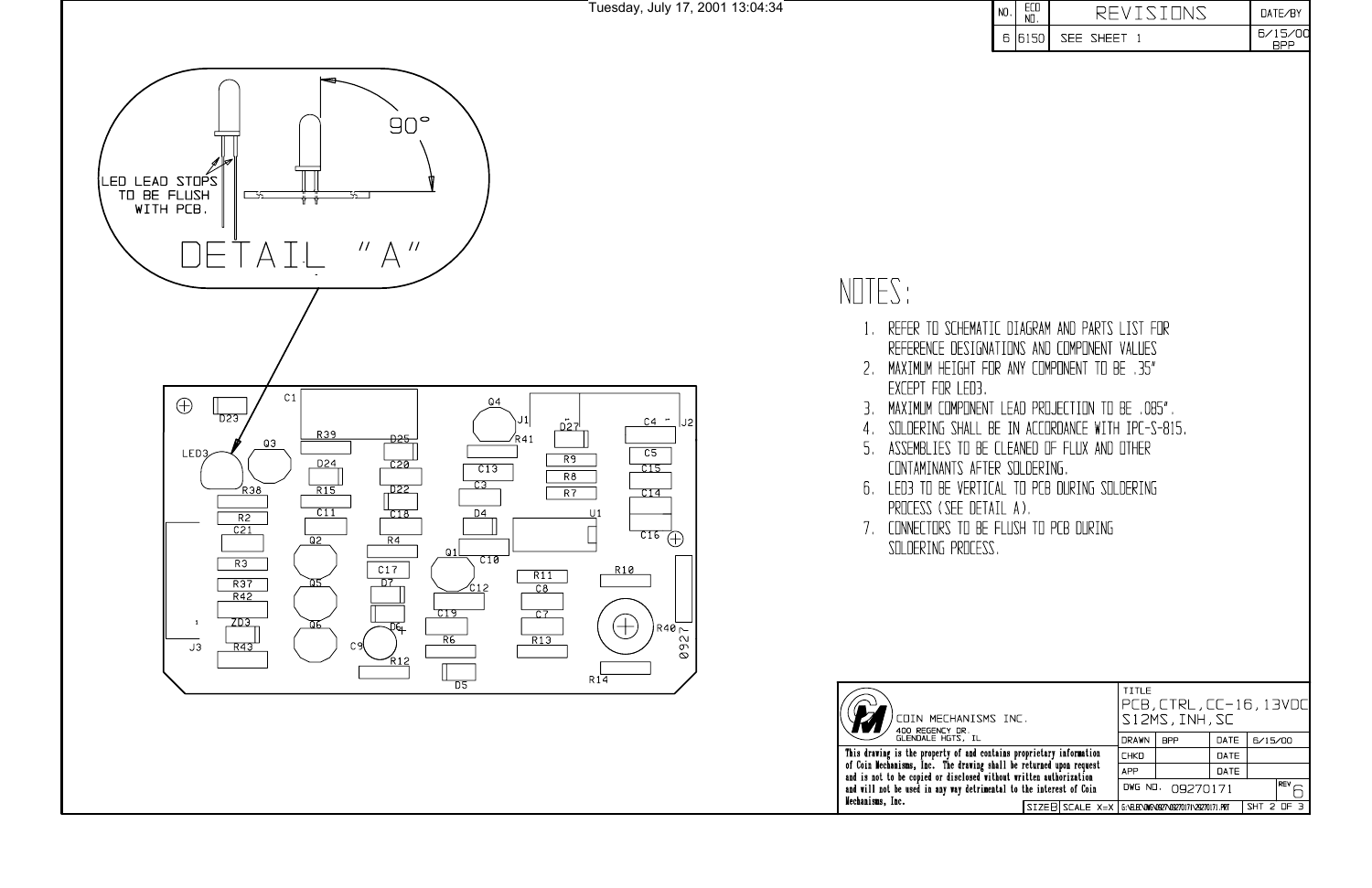



- 1. REFER TO SCHEMATIC REFERENCE DESIGNATIO
- 2. MAXIMUM HEIGHT FOR EXCEPT FOR LED3.
- 3. MAXIMUM COMPONENT LE
- SOLDERING SHALL BE  $4<sub>1</sub>$
- ASSEMBLIES TO BE CLI 5. CONTAMINANTS AFTER
- 6. LED3 TO BE VERTICAL PROCESS (SEE DETAIL
- 7. CONNECTORS TO BE FLI SOLDERING PROCESS.



This drawing is the property of and contains<br>of Coin Mechanisms, Inc. The drawing shall b<br>and is not to be copied or disclosed without<br>and will not be used in any way detrimental t<br>Mechanisms, Inc.

| ECD<br>NO.                                                                                                                                                                                                                                                    | REVISIONS                                          | DATE/BY               |
|---------------------------------------------------------------------------------------------------------------------------------------------------------------------------------------------------------------------------------------------------------------|----------------------------------------------------|-----------------------|
| 6150<br>SEE SHEET 1                                                                                                                                                                                                                                           |                                                    | 6/15/00<br><b>BPP</b> |
| JIAGRAM AND PARTS LIST FOR<br>INS AND COMPONENT VALUES<br>ANY COMPONENT TO BE .35"<br>$\mathsf{EAD}$ PROJECTION TO BE ,085".<br>IN ACCORDANCE WITH IPC-S-815.<br>EANED OF FLUX AND OTHER<br>SOLDERING.<br>TO PCB DURING SOLDERING<br>A).<br>JSH TO PCB DURING | TITLE                                              |                       |
| NC.                                                                                                                                                                                                                                                           | PCB, CTRL, CC-16, 13VDC<br>S12MS, INH, SC          |                       |
| proprietary information<br>be returned upon request                                                                                                                                                                                                           | <b>DRAWN</b><br><b>BPP</b><br>DATE<br>CHKD<br>DATE | 6/15/00               |
| t written authorization                                                                                                                                                                                                                                       | <b>APP</b><br>DATE                                 |                       |
| to the interest of Coin                                                                                                                                                                                                                                       | DWG NO.<br>09270171                                | REV                   |
| SIZEB SCALE X=X                                                                                                                                                                                                                                               | G:\ELEC\DWG\0927\09270171\29270171.PRT             | <b>THZ</b><br>2 OF    |
|                                                                                                                                                                                                                                                               |                                                    |                       |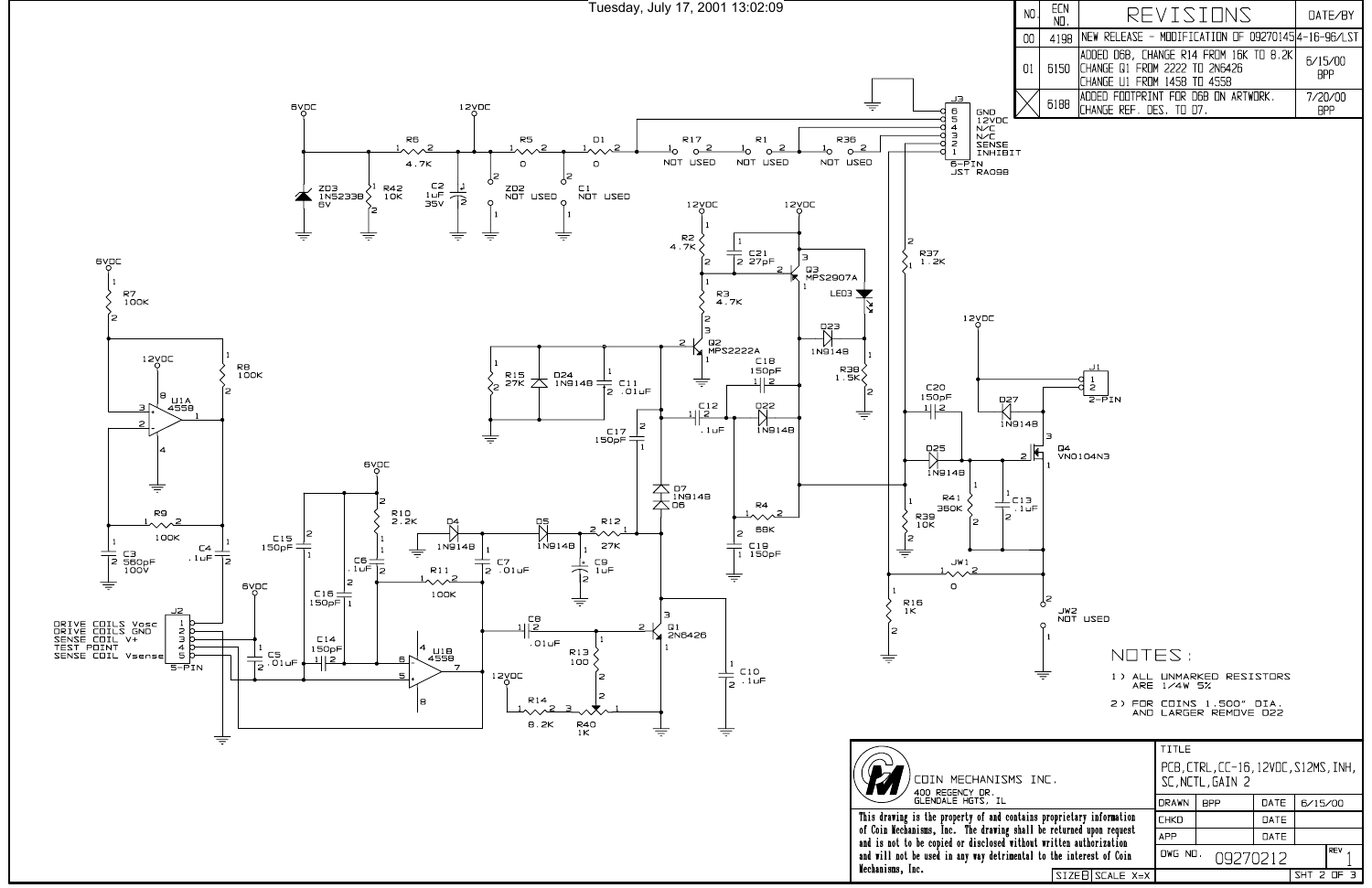Tuesday, July 17, 2001 13:02:09



|    | ECN<br>$NII$ . | REVISTINS                                                                                                   | $\overline{I}$ ATE/RY |
|----|----------------|-------------------------------------------------------------------------------------------------------------|-----------------------|
| 00 | 4198           | NEW RELEASE - MODIFICATION OF 092701454-16-96/LST                                                           |                       |
| 01 |                | ADDED D6B, CHANGE R14 FRDM 16K TO 8.2K<br>6150 CHANGE Q1 FROM 2222 TO 2N6426<br>CHANGE U1 FROM 1458 TO 4558 | 6/15/00<br><b>RPP</b> |
|    | 6188           | IADDED FOOTPRINT FOR D6B ON ARTWORK.<br> CHANGE REF. DES. TO D7.                                            | 7/20/00               |

|                                                                 | TITLE                                                    |            |      |            |            |
|-----------------------------------------------------------------|----------------------------------------------------------|------------|------|------------|------------|
| MS INC.                                                         | PCB, CTRL, CC-16, 12VDC, S12MS, INH,<br>SC, NCTL, GAIN 2 |            |      |            |            |
|                                                                 | <b>DRAWN</b>                                             | <b>BPP</b> | DATE | 6/15/00    |            |
| contains proprietary information                                | <b>CHKD</b>                                              |            | DATE |            |            |
| shall be returned upon request<br>without written authorization | <b>APP</b>                                               |            | DATE |            |            |
| imental to the interest of Coin                                 | DWG NO.<br>09270212                                      |            |      |            | <b>REV</b> |
| $SIZEB$ SCALE $X=X$                                             |                                                          |            |      | SHT 2 OF 3 |            |